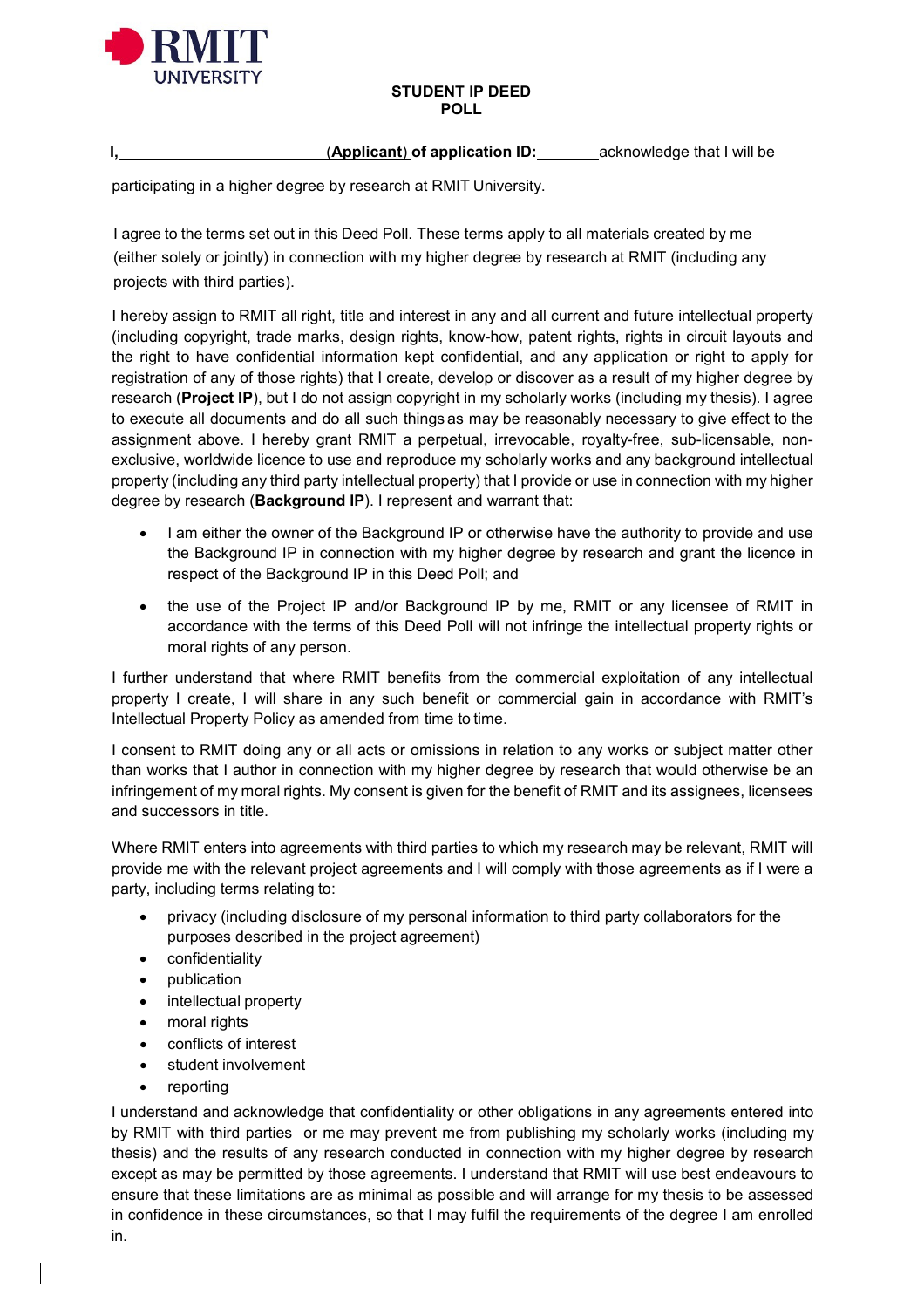

#### **STUDENT IP DEED POLL**

**I,** (**Applicant**) **of application ID:** acknowledge that I will be

participating in a higher degree by research at RMIT University.

I agree to the terms set out in this Deed Poll. These terms apply to all materials created by me (either solely or jointly) in connection with my higher degree by research at RMIT (including any projects with third parties).

I hereby assign to RMIT all right, title and interest in any and all current and future intellectual property (including copyright, trade marks, design rights, know-how, patent rights, rights in circuit layouts and the right to have confidential information kept confidential, and any application or right to apply for registration of any of those rights) that I create, develop or discover as a result of my higher degree by research (**Project IP**), but I do not assign copyright in my scholarly works (including my thesis). I agree to execute all documents and do all such things as may be reasonably necessary to give effect to the assignment above. I hereby grant RMIT a perpetual, irrevocable, royalty-free, sub-licensable, nonexclusive, worldwide licence to use and reproduce my scholarly works and any background intellectual property (including any third party intellectual property) that I provide or use in connection with my higher degree by research (**Background IP**). I represent and warrant that:

- I am either the owner of the Background IP or otherwise have the authority to provide and use the Background IP in connection with my higher degree by research and grant the licence in respect of the Background IP in this Deed Poll; and
- the use of the Project IP and/or Background IP by me. RMIT or any licensee of RMIT in accordance with the terms of this Deed Poll will not infringe the intellectual property rights or moral rights of any person.

I further understand that where RMIT benefits from the commercial exploitation of any intellectual property I create, I will share in any such benefit or commercial gain in accordance with RMIT's Intellectual Property Policy as amended from time to time.

I consent to RMIT doing any or all acts or omissions in relation to any works or subject matter other than works that I author in connection with my higher degree by research that would otherwise be an infringement of my moral rights. My consent is given for the benefit of RMIT and its assignees, licensees and successors in title.

Where RMIT enters into agreements with third parties to which my research may be relevant, RMIT will provide me with the relevant project agreements and I will comply with those agreements as if I were a party, including terms relating to:

- privacy (including disclosure of my personal information to third party collaborators for the purposes described in the project agreement)
- confidentiality
- publication
- intellectual property
- moral rights
- conflicts of interest
- student involvement
- reporting

I understand and acknowledge that confidentiality or other obligations in any agreements entered into by RMIT with third parties or me may prevent me from publishing my scholarly works (including my thesis) and the results of any research conducted in connection with my higher degree by research except as may be permitted by those agreements. I understand that RMIT will use best endeavours to ensure that these limitations are as minimal as possible and will arrange for my thesis to be assessed in confidence in these circumstances, so that I may fulfil the requirements of the degree I am enrolled in.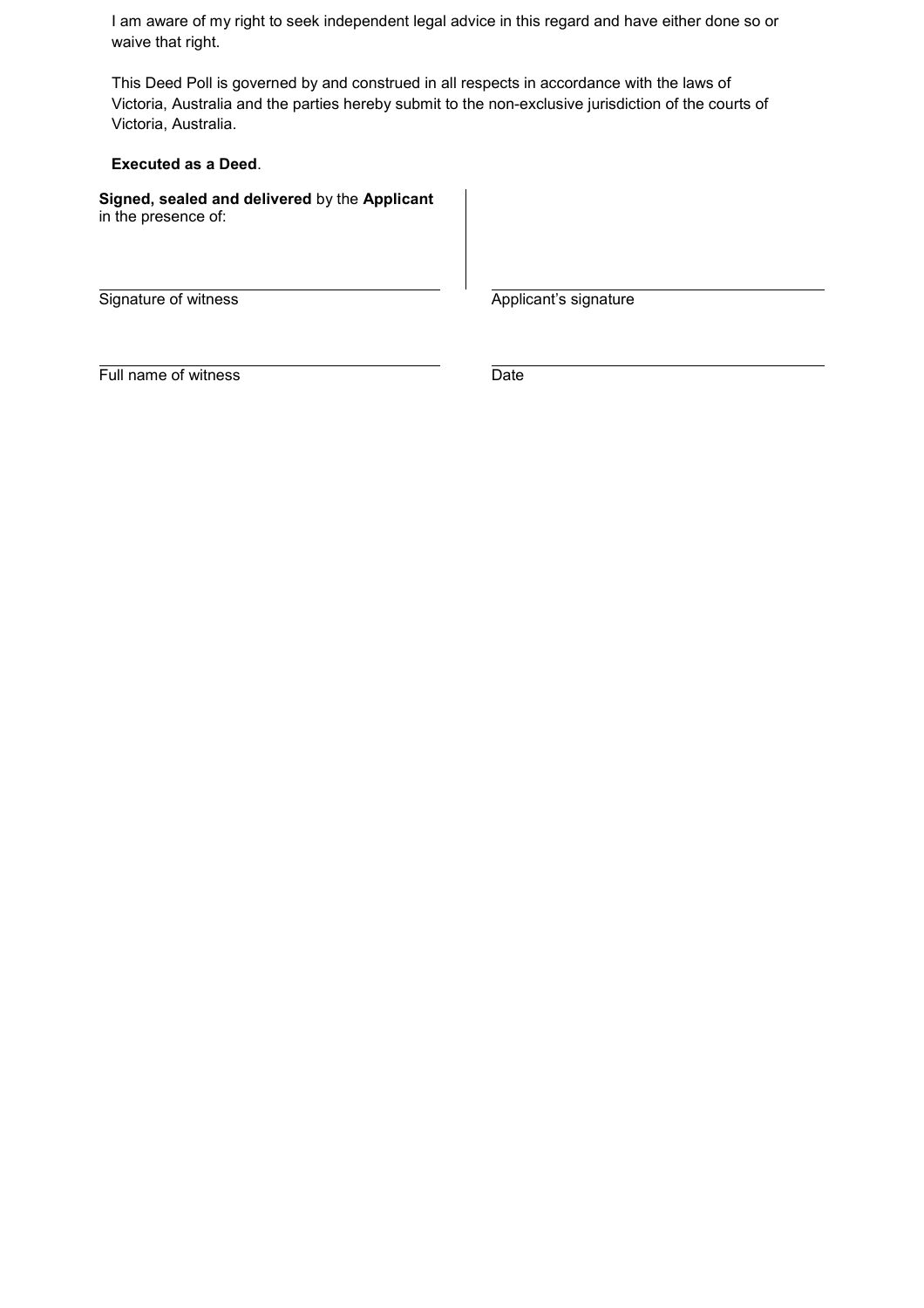I am aware of my right to seek independent legal advice in this regard and have either done so or waive that right.

This Deed Poll is governed by and construed in all respects in accordance with the laws of Victoria, Australia and the parties hereby submit to the non-exclusive jurisdiction of the courts of Victoria, Australia.

**Executed as a Deed**.

**Signed, sealed and delivered** by the **Applicant**  in the presence of:

Signature of witness Applicant's signature

Full name of witness Date